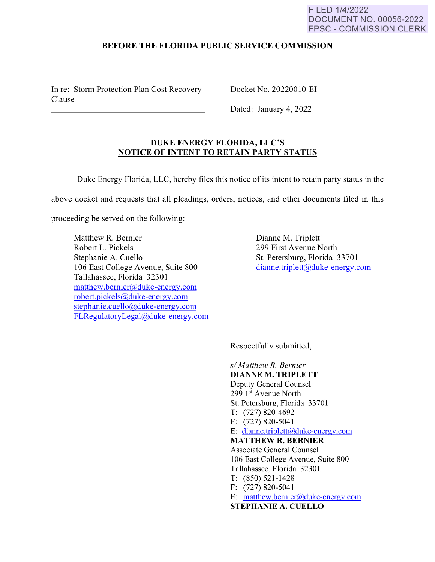## **BEFORE THE FLORIDA PUBLIC SERVICE COMMISSION**

In re: Storm Protection Plan Cost Recovery Clause

Docket No. 20220010-EI

Dated: January 4, 2022

## **DUKE ENERGY FLORIDA, LLC'S NOTICE OF INTENT TO RETAIN PARTY STATUS**

**Duke** Energy Florida, LLC, hereby files this notice of its intent to retain party status in the

above docket and requests that all pleadings, orders, notices, and other documents filed in this

proceeding be served on the following:

Matthew R. Bernier Robert L. Pickels Stephanie A. Cuello 106 East College A venue, Suite 800 Tallahassee, Florida 32301 matthew. bemier@duke-energy.com robert.pickels@duke-energy.com stephanie.cuello@duke-energy.com FLRegulatoryLegal@duke-energy.com Dianne M. Triplett 299 First Avenue North St. Petersburg, Florida 33701 dianne.triplett@duke-energy.com

Respectfully submitted,

*s/ Matthew R. Bernier*  **DIANNE M. TRIPLETT**  Deputy General Counsel 299 1st Avenue North St. Petersburg, Florida 33701 T: (727) 820-4692 F: (727) 820-5041 E: dianne.triplett@duke-energy.com **MATTHEW R. BERNIER**  Associate General Counsel 106 East College Avenue, Suite 800 Tallahassee, Florida 32301 T: (850) 521-1428 F: (727) 820-5041 E: matthew. bemier@duke-energy.com **STEPHANIE A. CUELLO**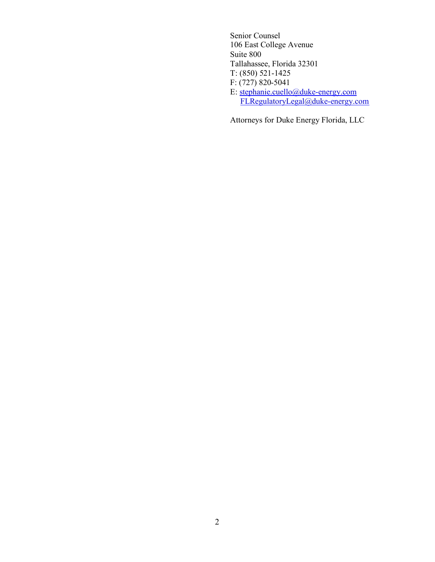Senior Counsel 106 East College Avenue Suite 800 Tallahassee, Florida 32301 T: (850) 521-1425 F: (727) 820-5041 E: stephanie.cuello@duke-energy.com FLRegulatoryLegal@duke-energy.com

Attorneys for Duke Energy Florida, LLC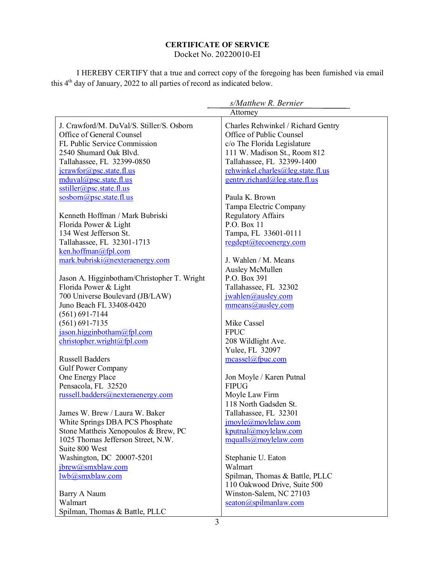## **CERTIFICATE OF SERVICE**

Docket No. 20220010-EI

I HEREBY CERTIFY that a true and correct copy of the foregoing has been furnished via email this 4th day of January, 2022 to all parties of record as indicated below.

| s/Matthew R. Bernier                        |                                          |
|---------------------------------------------|------------------------------------------|
|                                             | Attorney                                 |
| J. Crawford/M. DuVal/S. Stiller/S. Osborn   | Charles Rehwinkel / Richard Gentry       |
| Office of General Counsel                   | Office of Public Counsel                 |
| FL Public Service Commission                | c/o The Florida Legislature              |
| 2540 Shumard Oak Blvd.                      | 111 W. Madison St., Room 812             |
| Tallahassee, FL 32399-0850                  | Tallahassee, FL 32399-1400               |
| $jcrawfor(a)$ psc.state.fl.us               | rehwinkel.charles@leg.state.fl.us        |
| mduval@psc.state.fl.us                      | gentry.richard@leg.state.fl.us           |
| sstiller@psc.state.fl.us                    |                                          |
| sosborn@psc.state.fl.us                     | Paula K. Brown                           |
|                                             | Tampa Electric Company                   |
| Kenneth Hoffman / Mark Bubriski             | <b>Regulatory Affairs</b>                |
| Florida Power & Light                       | P.O. Box 11                              |
| 134 West Jefferson St.                      | Tampa, FL 33601-0111                     |
| Tallahassee, FL 32301-1713                  | regdept@tecoenergy.com                   |
| $k$ en.hoffman@fpl.com                      |                                          |
| mark.bubriski@nexteraenergy.com             | J. Wahlen / M. Means                     |
|                                             | Ausley McMullen                          |
| Jason A. Higginbotham/Christopher T. Wright | P.O. Box 391                             |
| Florida Power & Light                       | Tallahassee, FL 32302                    |
| 700 Universe Boulevard (JB/LAW)             | jwahlen@ausley.com                       |
| Juno Beach FL 33408-0420                    | mmeans@ausley.com                        |
| $(561) 691 - 7144$                          |                                          |
| $(561) 691 - 7135$                          | Mike Cassel                              |
| jason.higginbotham@fpl.com                  | <b>FPUC</b>                              |
| christopher.wright@fpl.com                  | 208 Wildlight Ave.                       |
|                                             | Yulee, FL 32097                          |
| <b>Russell Badders</b>                      | meassel@fpuc.com                         |
| <b>Gulf Power Company</b>                   |                                          |
| One Energy Place<br>Pensacola, FL 32520     | Jon Moyle / Karen Putnal<br><b>FIPUG</b> |
| russell.badders@nexteraenergy.com           | Moyle Law Firm                           |
|                                             | 118 North Gadsden St.                    |
| James W. Brew / Laura W. Baker              | Tallahassee, FL 32301                    |
| White Springs DBA PCS Phosphate             | jmoyle@moylelaw.com                      |
| Stone Mattheis Xenopoulos & Brew, PC        | kputnal@moylelaw.com                     |
| 1025 Thomas Jefferson Street, N.W.          | mqualls@movlelaw.com                     |
| Suite 800 West                              |                                          |
| Washington, DC 20007-5201                   | Stephanie U. Eaton                       |
| jbrew@smxblaw.com                           | Walmart                                  |
| lwb@smxblaw.com                             | Spilman, Thomas & Battle, PLLC           |
|                                             | 110 Oakwood Drive, Suite 500             |
| Barry A Naum                                | Winston-Salem, NC 27103                  |
| Walmart                                     | $\text{seaton}(a)$ spilmanlaw.com        |
| Spilman, Thomas & Battle, PLLC              |                                          |